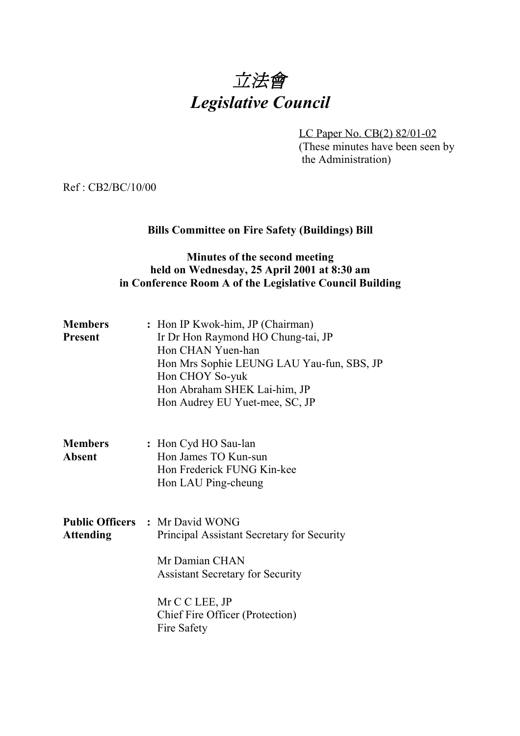

LC Paper No. CB(2) 82/01-02 (These minutes have been seen by the Administration)

Ref : CB2/BC/10/00

# **Bills Committee on Fire Safety (Buildings) Bill**

## **Minutes of the second meeting held on Wednesday, 25 April 2001 at 8:30 am in Conference Room A of the Legislative Council Building**

| <b>Members</b><br><b>Present</b> | : Hon IP Kwok-him, JP (Chairman)<br>Ir Dr Hon Raymond HO Chung-tai, JP<br>Hon CHAN Yuen-han<br>Hon Mrs Sophie LEUNG LAU Yau-fun, SBS, JP<br>Hon CHOY So-yuk<br>Hon Abraham SHEK Lai-him, JP<br>Hon Audrey EU Yuet-mee, SC, JP |
|----------------------------------|-------------------------------------------------------------------------------------------------------------------------------------------------------------------------------------------------------------------------------|
| <b>Members</b><br><b>Absent</b>  | : Hon Cyd HO Sau-lan<br>Hon James TO Kun-sun<br>Hon Frederick FUNG Kin-kee<br>Hon LAU Ping-cheung                                                                                                                             |
| <b>Attending</b>                 | <b>Public Officers : Mr David WONG</b><br>Principal Assistant Secretary for Security<br>Mr Damian CHAN<br><b>Assistant Secretary for Security</b><br>Mr C C LEE, JP<br>Chief Fire Officer (Protection)<br>Fire Safety         |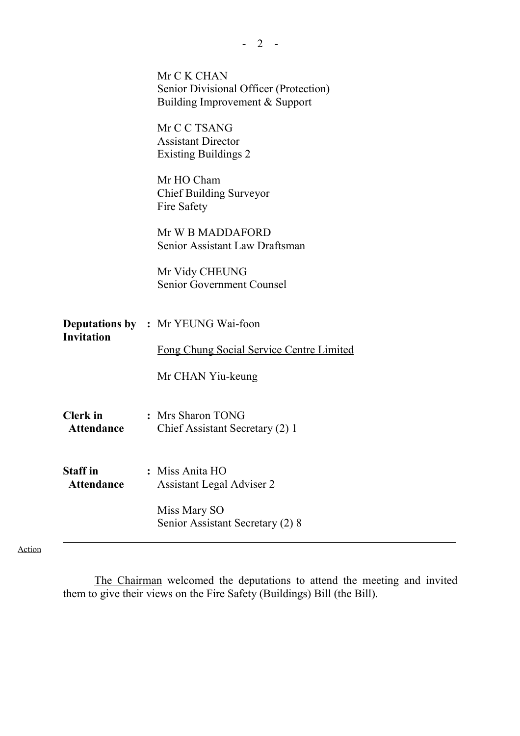|                                      | Mr C K CHAN<br>Senior Divisional Officer (Protection)<br>Building Improvement & Support |
|--------------------------------------|-----------------------------------------------------------------------------------------|
|                                      | Mr C C TSANG<br><b>Assistant Director</b><br><b>Existing Buildings 2</b>                |
|                                      | Mr HO Cham<br><b>Chief Building Surveyor</b><br>Fire Safety                             |
|                                      | Mr W B MADDAFORD<br>Senior Assistant Law Draftsman                                      |
|                                      | Mr Vidy CHEUNG<br><b>Senior Government Counsel</b>                                      |
| <b>Invitation</b>                    | <b>Deputations by : Mr YEUNG Wai-foon</b>                                               |
|                                      | Fong Chung Social Service Centre Limited<br>Mr CHAN Yiu-keung                           |
|                                      |                                                                                         |
| Clerk in<br><b>Attendance</b>        | : Mrs Sharon TONG<br>Chief Assistant Secretary (2) 1                                    |
| <b>Staff</b> in<br><b>Attendance</b> | : Miss Anita HO<br><b>Assistant Legal Adviser 2</b>                                     |
|                                      | Miss Mary SO<br>Senior Assistant Secretary (2) 8                                        |

 $- 2 - -$ 

Action

The Chairman welcomed the deputations to attend the meeting and invited them to give their views on the Fire Safety (Buildings) Bill (the Bill).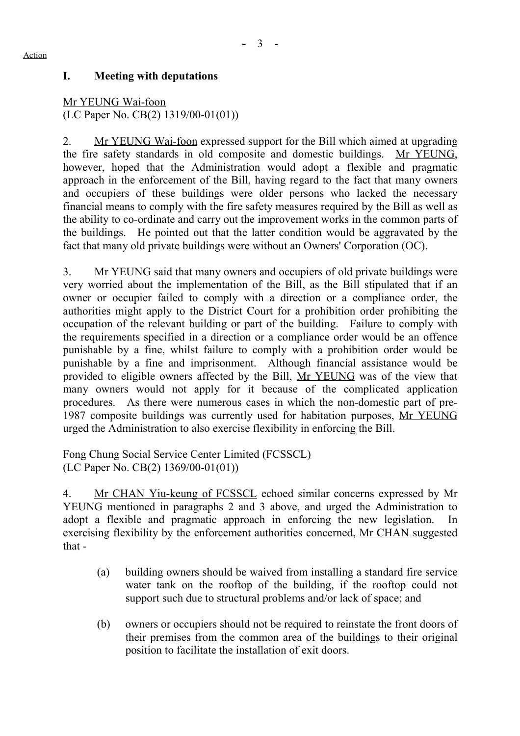#### Action

### **I. Meeting with deputations**

Mr YEUNG Wai-foon (LC Paper No. CB(2) 1319/00-01(01))

2. Mr YEUNG Wai-foon expressed support for the Bill which aimed at upgrading the fire safety standards in old composite and domestic buildings. Mr YEUNG, however, hoped that the Administration would adopt a flexible and pragmatic approach in the enforcement of the Bill, having regard to the fact that many owners and occupiers of these buildings were older persons who lacked the necessary financial means to comply with the fire safety measures required by the Bill as well as the ability to co-ordinate and carry out the improvement works in the common parts of the buildings. He pointed out that the latter condition would be aggravated by the fact that many old private buildings were without an Owners' Corporation (OC).

3. Mr YEUNG said that many owners and occupiers of old private buildings were very worried about the implementation of the Bill, as the Bill stipulated that if an owner or occupier failed to comply with a direction or a compliance order, the authorities might apply to the District Court for a prohibition order prohibiting the occupation of the relevant building or part of the building. Failure to comply with the requirements specified in a direction or a compliance order would be an offence punishable by a fine, whilst failure to comply with a prohibition order would be punishable by a fine and imprisonment. Although financial assistance would be provided to eligible owners affected by the Bill, Mr YEUNG was of the view that many owners would not apply for it because of the complicated application procedures. As there were numerous cases in which the non-domestic part of pre-1987 composite buildings was currently used for habitation purposes, Mr YEUNG urged the Administration to also exercise flexibility in enforcing the Bill.

Fong Chung Social Service Center Limited (FCSSCL) (LC Paper No. CB(2) 1369/00-01(01))

4. Mr CHAN Yiu-keung of FCSSCL echoed similar concerns expressed by Mr YEUNG mentioned in paragraphs 2 and 3 above, and urged the Administration to adopt a flexible and pragmatic approach in enforcing the new legislation. In exercising flexibility by the enforcement authorities concerned, Mr CHAN suggested that -

- (a) building owners should be waived from installing a standard fire service water tank on the rooftop of the building, if the rooftop could not support such due to structural problems and/or lack of space; and
- (b) owners or occupiers should not be required to reinstate the front doors of their premises from the common area of the buildings to their original position to facilitate the installation of exit doors.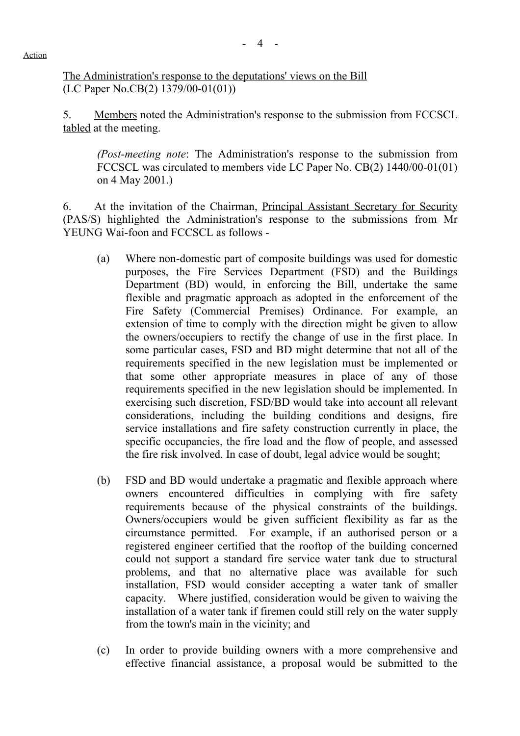Action

The Administration's response to the deputations' views on the Bill (LC Paper No.CB(2) 1379/00-01(01))

5. Members noted the Administration's response to the submission from FCCSCL tabled at the meeting.

*(Post-meeting note*: The Administration's response to the submission from FCCSCL was circulated to members vide LC Paper No. CB(2) 1440/00-01(01) on 4 May 2001.)

6. At the invitation of the Chairman, Principal Assistant Secretary for Security (PAS/S) highlighted the Administration's response to the submissions from Mr YEUNG Wai-foon and FCCSCL as follows -

- (a) Where non-domestic part of composite buildings was used for domestic purposes, the Fire Services Department (FSD) and the Buildings Department (BD) would, in enforcing the Bill, undertake the same flexible and pragmatic approach as adopted in the enforcement of the Fire Safety (Commercial Premises) Ordinance. For example, an extension of time to comply with the direction might be given to allow the owners/occupiers to rectify the change of use in the first place. In some particular cases, FSD and BD might determine that not all of the requirements specified in the new legislation must be implemented or that some other appropriate measures in place of any of those requirements specified in the new legislation should be implemented. In exercising such discretion, FSD/BD would take into account all relevant considerations, including the building conditions and designs, fire service installations and fire safety construction currently in place, the specific occupancies, the fire load and the flow of people, and assessed the fire risk involved. In case of doubt, legal advice would be sought;
- (b) FSD and BD would undertake a pragmatic and flexible approach where owners encountered difficulties in complying with fire safety requirements because of the physical constraints of the buildings. Owners/occupiers would be given sufficient flexibility as far as the circumstance permitted. For example, if an authorised person or a registered engineer certified that the rooftop of the building concerned could not support a standard fire service water tank due to structural problems, and that no alternative place was available for such installation, FSD would consider accepting a water tank of smaller capacity. Where justified, consideration would be given to waiving the installation of a water tank if firemen could still rely on the water supply from the town's main in the vicinity; and
- (c) In order to provide building owners with a more comprehensive and effective financial assistance, a proposal would be submitted to the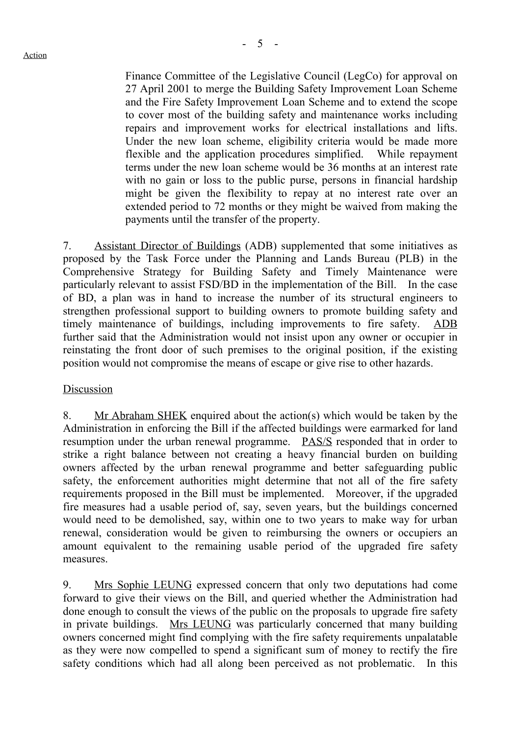Finance Committee of the Legislative Council (LegCo) for approval on 27 April 2001 to merge the Building Safety Improvement Loan Scheme and the Fire Safety Improvement Loan Scheme and to extend the scope to cover most of the building safety and maintenance works including repairs and improvement works for electrical installations and lifts. Under the new loan scheme, eligibility criteria would be made more flexible and the application procedures simplified. While repayment terms under the new loan scheme would be 36 months at an interest rate with no gain or loss to the public purse, persons in financial hardship might be given the flexibility to repay at no interest rate over an extended period to 72 months or they might be waived from making the payments until the transfer of the property.

7. Assistant Director of Buildings (ADB) supplemented that some initiatives as proposed by the Task Force under the Planning and Lands Bureau (PLB) in the Comprehensive Strategy for Building Safety and Timely Maintenance were particularly relevant to assist FSD/BD in the implementation of the Bill. In the case of BD, a plan was in hand to increase the number of its structural engineers to strengthen professional support to building owners to promote building safety and timely maintenance of buildings, including improvements to fire safety. ADB further said that the Administration would not insist upon any owner or occupier in reinstating the front door of such premises to the original position, if the existing position would not compromise the means of escape or give rise to other hazards.

#### Discussion

8. Mr Abraham SHEK enquired about the action(s) which would be taken by the Administration in enforcing the Bill if the affected buildings were earmarked for land resumption under the urban renewal programme. PAS/S responded that in order to strike a right balance between not creating a heavy financial burden on building owners affected by the urban renewal programme and better safeguarding public safety, the enforcement authorities might determine that not all of the fire safety requirements proposed in the Bill must be implemented. Moreover, if the upgraded fire measures had a usable period of, say, seven years, but the buildings concerned would need to be demolished, say, within one to two years to make way for urban renewal, consideration would be given to reimbursing the owners or occupiers an amount equivalent to the remaining usable period of the upgraded fire safety measures.

9. Mrs Sophie LEUNG expressed concern that only two deputations had come forward to give their views on the Bill, and queried whether the Administration had done enough to consult the views of the public on the proposals to upgrade fire safety in private buildings. Mrs LEUNG was particularly concerned that many building owners concerned might find complying with the fire safety requirements unpalatable as they were now compelled to spend a significant sum of money to rectify the fire safety conditions which had all along been perceived as not problematic. In this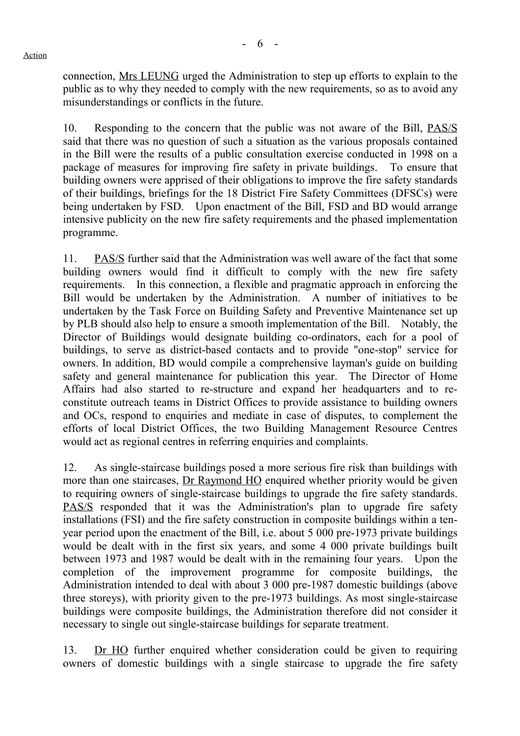connection, Mrs LEUNG urged the Administration to step up efforts to explain to the public as to why they needed to comply with the new requirements, so as to avoid any misunderstandings or conflicts in the future.

10. Responding to the concern that the public was not aware of the Bill, PAS/S said that there was no question of such a situation as the various proposals contained in the Bill were the results of a public consultation exercise conducted in 1998 on a package of measures for improving fire safety in private buildings. To ensure that building owners were apprised of their obligations to improve the fire safety standards of their buildings, briefings for the 18 District Fire Safety Committees (DFSCs) were being undertaken by FSD. Upon enactment of the Bill, FSD and BD would arrange intensive publicity on the new fire safety requirements and the phased implementation programme.

11. PAS/S further said that the Administration was well aware of the fact that some building owners would find it difficult to comply with the new fire safety requirements. In this connection, a flexible and pragmatic approach in enforcing the Bill would be undertaken by the Administration. A number of initiatives to be undertaken by the Task Force on Building Safety and Preventive Maintenance set up by PLB should also help to ensure a smooth implementation of the Bill. Notably, the Director of Buildings would designate building co-ordinators, each for a pool of buildings, to serve as district-based contacts and to provide "one-stop" service for owners. In addition, BD would compile a comprehensive layman's guide on building safety and general maintenance for publication this year. The Director of Home Affairs had also started to re-structure and expand her headquarters and to reconstitute outreach teams in District Offices to provide assistance to building owners and OCs, respond to enquiries and mediate in case of disputes, to complement the efforts of local District Offices, the two Building Management Resource Centres would act as regional centres in referring enquiries and complaints.

12. As single-staircase buildings posed a more serious fire risk than buildings with more than one staircases, Dr Raymond HO enquired whether priority would be given to requiring owners of single-staircase buildings to upgrade the fire safety standards. PAS/S responded that it was the Administration's plan to upgrade fire safety installations (FSI) and the fire safety construction in composite buildings within a tenyear period upon the enactment of the Bill, i.e. about 5 000 pre-1973 private buildings would be dealt with in the first six years, and some 4 000 private buildings built between 1973 and 1987 would be dealt with in the remaining four years. Upon the completion of the improvement programme for composite buildings, the Administration intended to deal with about 3 000 pre-1987 domestic buildings (above three storeys), with priority given to the pre-1973 buildings. As most single-staircase buildings were composite buildings, the Administration therefore did not consider it necessary to single out single-staircase buildings for separate treatment.

13. Dr HO further enquired whether consideration could be given to requiring owners of domestic buildings with a single staircase to upgrade the fire safety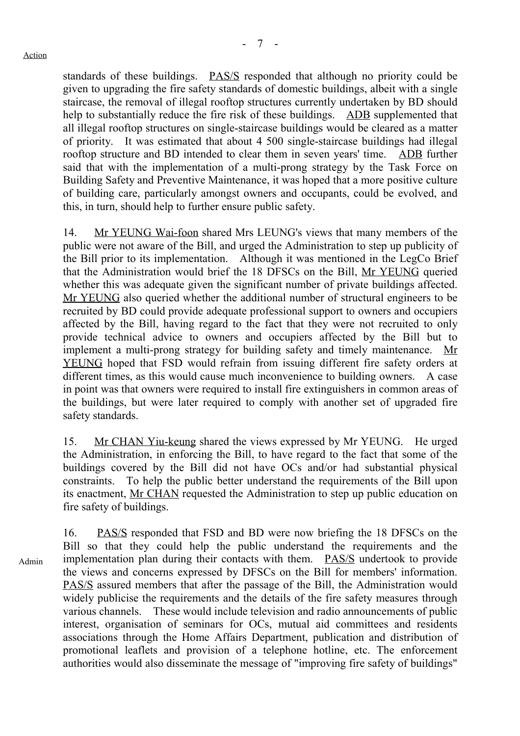standards of these buildings. PAS/S responded that although no priority could be given to upgrading the fire safety standards of domestic buildings, albeit with a single staircase, the removal of illegal rooftop structures currently undertaken by BD should help to substantially reduce the fire risk of these buildings. ADB supplemented that all illegal rooftop structures on single-staircase buildings would be cleared as a matter of priority. It was estimated that about 4 500 single-staircase buildings had illegal rooftop structure and BD intended to clear them in seven years' time. ADB further said that with the implementation of a multi-prong strategy by the Task Force on Building Safety and Preventive Maintenance, it was hoped that a more positive culture of building care, particularly amongst owners and occupants, could be evolved, and this, in turn, should help to further ensure public safety.

14. Mr YEUNG Wai-foon shared Mrs LEUNG's views that many members of the public were not aware of the Bill, and urged the Administration to step up publicity of the Bill prior to its implementation. Although it was mentioned in the LegCo Brief that the Administration would brief the 18 DFSCs on the Bill, Mr YEUNG queried whether this was adequate given the significant number of private buildings affected. Mr YEUNG also queried whether the additional number of structural engineers to be recruited by BD could provide adequate professional support to owners and occupiers affected by the Bill, having regard to the fact that they were not recruited to only provide technical advice to owners and occupiers affected by the Bill but to implement a multi-prong strategy for building safety and timely maintenance. Mr YEUNG hoped that FSD would refrain from issuing different fire safety orders at different times, as this would cause much inconvenience to building owners. A case in point was that owners were required to install fire extinguishers in common areas of the buildings, but were later required to comply with another set of upgraded fire safety standards.

15. Mr CHAN Yiu-keung shared the views expressed by Mr YEUNG. He urged the Administration, in enforcing the Bill, to have regard to the fact that some of the buildings covered by the Bill did not have OCs and/or had substantial physical constraints. To help the public better understand the requirements of the Bill upon its enactment, Mr CHAN requested the Administration to step up public education on fire safety of buildings.

Admin 16. PAS/S responded that FSD and BD were now briefing the 18 DFSCs on the Bill so that they could help the public understand the requirements and the implementation plan during their contacts with them. PAS/S undertook to provide the views and concerns expressed by DFSCs on the Bill for members' information. PAS/S assured members that after the passage of the Bill, the Administration would widely publicise the requirements and the details of the fire safety measures through various channels. These would include television and radio announcements of public interest, organisation of seminars for OCs, mutual aid committees and residents associations through the Home Affairs Department, publication and distribution of promotional leaflets and provision of a telephone hotline, etc. The enforcement authorities would also disseminate the message of "improving fire safety of buildings"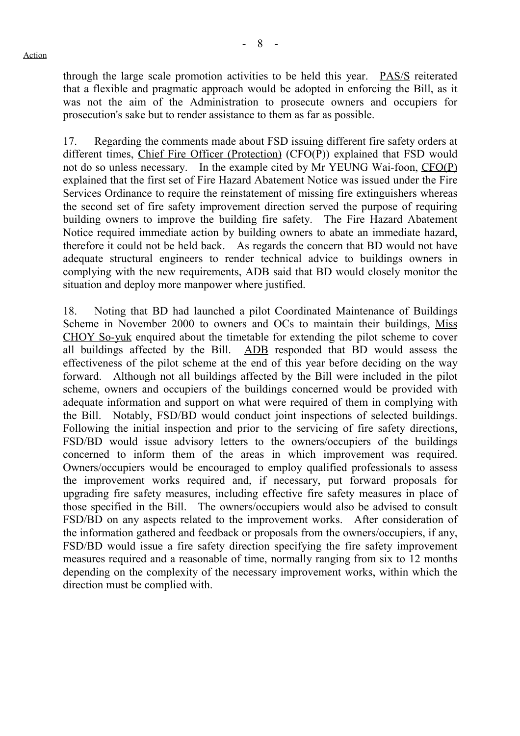through the large scale promotion activities to be held this year. PAS/S reiterated that a flexible and pragmatic approach would be adopted in enforcing the Bill, as it was not the aim of the Administration to prosecute owners and occupiers for prosecution's sake but to render assistance to them as far as possible.

17. Regarding the comments made about FSD issuing different fire safety orders at different times, Chief Fire Officer (Protection) (CFO(P)) explained that FSD would not do so unless necessary. In the example cited by Mr YEUNG Wai-foon, CFO(P) explained that the first set of Fire Hazard Abatement Notice was issued under the Fire Services Ordinance to require the reinstatement of missing fire extinguishers whereas the second set of fire safety improvement direction served the purpose of requiring building owners to improve the building fire safety. The Fire Hazard Abatement Notice required immediate action by building owners to abate an immediate hazard, therefore it could not be held back. As regards the concern that BD would not have adequate structural engineers to render technical advice to buildings owners in complying with the new requirements, ADB said that BD would closely monitor the situation and deploy more manpower where justified.

18. Noting that BD had launched a pilot Coordinated Maintenance of Buildings Scheme in November 2000 to owners and OCs to maintain their buildings, Miss CHOY So-yuk enquired about the timetable for extending the pilot scheme to cover all buildings affected by the Bill. ADB responded that BD would assess the effectiveness of the pilot scheme at the end of this year before deciding on the way forward. Although not all buildings affected by the Bill were included in the pilot scheme, owners and occupiers of the buildings concerned would be provided with adequate information and support on what were required of them in complying with the Bill. Notably, FSD/BD would conduct joint inspections of selected buildings. Following the initial inspection and prior to the servicing of fire safety directions, FSD/BD would issue advisory letters to the owners/occupiers of the buildings concerned to inform them of the areas in which improvement was required. Owners/occupiers would be encouraged to employ qualified professionals to assess the improvement works required and, if necessary, put forward proposals for upgrading fire safety measures, including effective fire safety measures in place of those specified in the Bill. The owners/occupiers would also be advised to consult FSD/BD on any aspects related to the improvement works. After consideration of the information gathered and feedback or proposals from the owners/occupiers, if any, FSD/BD would issue a fire safety direction specifying the fire safety improvement measures required and a reasonable of time, normally ranging from six to 12 months depending on the complexity of the necessary improvement works, within which the direction must be complied with.